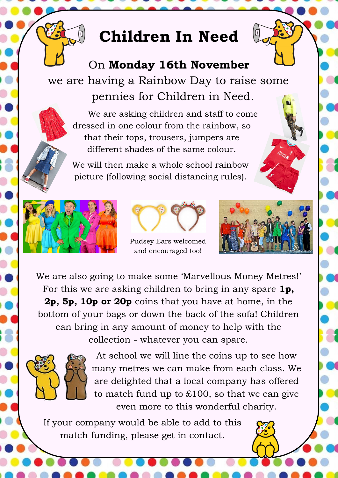# **Children In Need**

## On **Monday 16th November**  we are having a Rainbow Day to raise some

pennies for Children in Need.

We are asking children and staff to come dressed in one colour from the rainbow, so that their tops, trousers, jumpers are different shades of the same colour.

We will then make a whole school rainbow picture (following social distancing rules).





### Pudsey Ears welcomed and encouraged too!



We are also going to make some 'Marvellous Money Metres!' For this we are asking children to bring in any spare **1p, 2p, 5p, 10p or 20p** coins that you have at home, in the bottom of your bags or down the back of the sofa! Children can bring in any amount of money to help with the collection - whatever you can spare.



At school we will line the coins up to see how many metres we can make from each class. We are delighted that a local company has offered to match fund up to £100, so that we can give even more to this wonderful charity.

If your company would be able to add to this match funding, please get in contact.